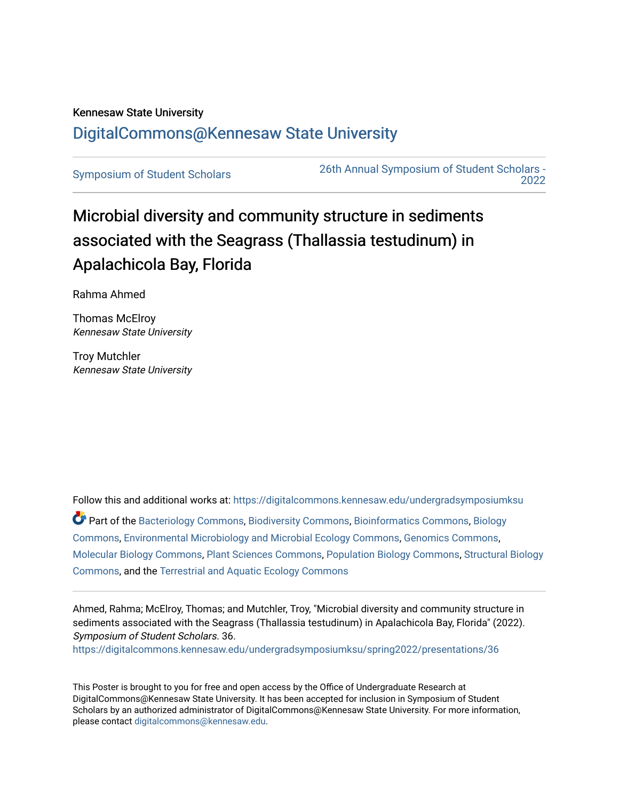## Kennesaw State University [DigitalCommons@Kennesaw State University](https://digitalcommons.kennesaw.edu/)

[Symposium of Student Scholars](https://digitalcommons.kennesaw.edu/undergradsymposiumksu) [26th Annual Symposium of Student Scholars -](https://digitalcommons.kennesaw.edu/undergradsymposiumksu/spring2022)  [2022](https://digitalcommons.kennesaw.edu/undergradsymposiumksu/spring2022) 

## Microbial diversity and community structure in sediments associated with the Seagrass (Thallassia testudinum) in Apalachicola Bay, Florida

Rahma Ahmed

Thomas McElroy Kennesaw State University

Troy Mutchler Kennesaw State University

Follow this and additional works at: [https://digitalcommons.kennesaw.edu/undergradsymposiumksu](https://digitalcommons.kennesaw.edu/undergradsymposiumksu?utm_source=digitalcommons.kennesaw.edu%2Fundergradsymposiumksu%2Fspring2022%2Fpresentations%2F36&utm_medium=PDF&utm_campaign=PDFCoverPages) 

Part of the [Bacteriology Commons](http://network.bepress.com/hgg/discipline/49?utm_source=digitalcommons.kennesaw.edu%2Fundergradsymposiumksu%2Fspring2022%2Fpresentations%2F36&utm_medium=PDF&utm_campaign=PDFCoverPages), [Biodiversity Commons,](http://network.bepress.com/hgg/discipline/1127?utm_source=digitalcommons.kennesaw.edu%2Fundergradsymposiumksu%2Fspring2022%2Fpresentations%2F36&utm_medium=PDF&utm_campaign=PDFCoverPages) [Bioinformatics Commons,](http://network.bepress.com/hgg/discipline/110?utm_source=digitalcommons.kennesaw.edu%2Fundergradsymposiumksu%2Fspring2022%2Fpresentations%2F36&utm_medium=PDF&utm_campaign=PDFCoverPages) [Biology](http://network.bepress.com/hgg/discipline/41?utm_source=digitalcommons.kennesaw.edu%2Fundergradsymposiumksu%2Fspring2022%2Fpresentations%2F36&utm_medium=PDF&utm_campaign=PDFCoverPages) [Commons](http://network.bepress.com/hgg/discipline/41?utm_source=digitalcommons.kennesaw.edu%2Fundergradsymposiumksu%2Fspring2022%2Fpresentations%2F36&utm_medium=PDF&utm_campaign=PDFCoverPages), [Environmental Microbiology and Microbial Ecology Commons](http://network.bepress.com/hgg/discipline/50?utm_source=digitalcommons.kennesaw.edu%2Fundergradsymposiumksu%2Fspring2022%2Fpresentations%2F36&utm_medium=PDF&utm_campaign=PDFCoverPages), [Genomics Commons](http://network.bepress.com/hgg/discipline/30?utm_source=digitalcommons.kennesaw.edu%2Fundergradsymposiumksu%2Fspring2022%2Fpresentations%2F36&utm_medium=PDF&utm_campaign=PDFCoverPages), [Molecular Biology Commons](http://network.bepress.com/hgg/discipline/5?utm_source=digitalcommons.kennesaw.edu%2Fundergradsymposiumksu%2Fspring2022%2Fpresentations%2F36&utm_medium=PDF&utm_campaign=PDFCoverPages), [Plant Sciences Commons,](http://network.bepress.com/hgg/discipline/102?utm_source=digitalcommons.kennesaw.edu%2Fundergradsymposiumksu%2Fspring2022%2Fpresentations%2F36&utm_medium=PDF&utm_campaign=PDFCoverPages) [Population Biology Commons,](http://network.bepress.com/hgg/discipline/19?utm_source=digitalcommons.kennesaw.edu%2Fundergradsymposiumksu%2Fspring2022%2Fpresentations%2F36&utm_medium=PDF&utm_campaign=PDFCoverPages) [Structural Biology](http://network.bepress.com/hgg/discipline/6?utm_source=digitalcommons.kennesaw.edu%2Fundergradsymposiumksu%2Fspring2022%2Fpresentations%2F36&utm_medium=PDF&utm_campaign=PDFCoverPages)  [Commons](http://network.bepress.com/hgg/discipline/6?utm_source=digitalcommons.kennesaw.edu%2Fundergradsymposiumksu%2Fspring2022%2Fpresentations%2F36&utm_medium=PDF&utm_campaign=PDFCoverPages), and the [Terrestrial and Aquatic Ecology Commons](http://network.bepress.com/hgg/discipline/20?utm_source=digitalcommons.kennesaw.edu%2Fundergradsymposiumksu%2Fspring2022%2Fpresentations%2F36&utm_medium=PDF&utm_campaign=PDFCoverPages) 

Ahmed, Rahma; McElroy, Thomas; and Mutchler, Troy, "Microbial diversity and community structure in sediments associated with the Seagrass (Thallassia testudinum) in Apalachicola Bay, Florida" (2022). Symposium of Student Scholars. 36.

[https://digitalcommons.kennesaw.edu/undergradsymposiumksu/spring2022/presentations/36](https://digitalcommons.kennesaw.edu/undergradsymposiumksu/spring2022/presentations/36?utm_source=digitalcommons.kennesaw.edu%2Fundergradsymposiumksu%2Fspring2022%2Fpresentations%2F36&utm_medium=PDF&utm_campaign=PDFCoverPages) 

This Poster is brought to you for free and open access by the Office of Undergraduate Research at DigitalCommons@Kennesaw State University. It has been accepted for inclusion in Symposium of Student Scholars by an authorized administrator of DigitalCommons@Kennesaw State University. For more information, please contact [digitalcommons@kennesaw.edu.](mailto:digitalcommons@kennesaw.edu)